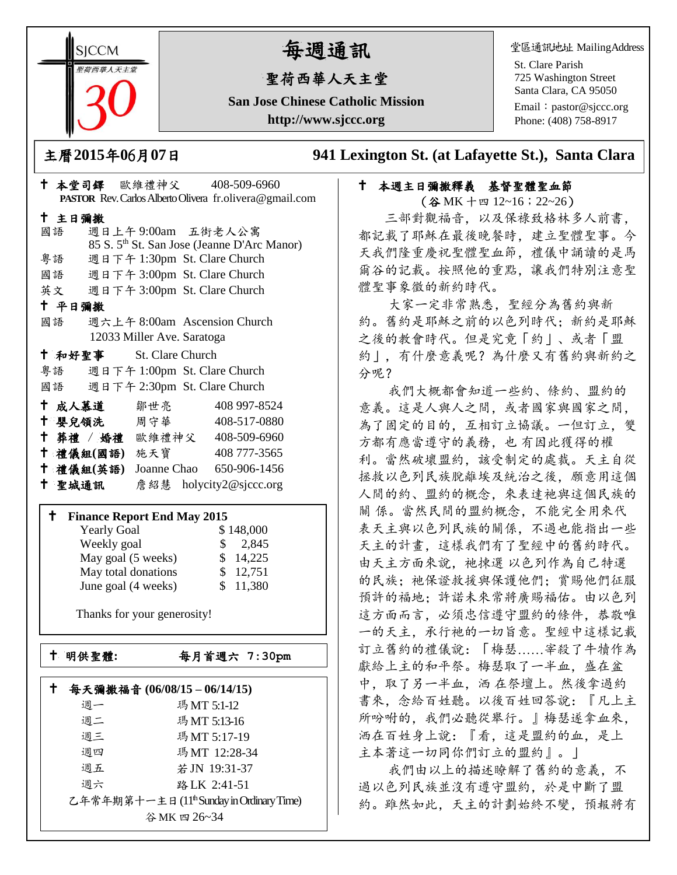**SICCM** 荷西華人天主

# 每週通訊

## 聖荷西華人天主堂

**San Jose Chinese Catholic Mission http://www.sjccc.org**

堂區通訊地址 MailingAddress

St. Clare Parish 725 Washington Street Santa Clara, CA 95050

Email: [pastor@sjccc.org](mailto:pastor@sjccc.org) Phone: (408) 758-8917

主曆**2015**年**0**6月**07**日 **941 Lexington St. (at Lafayette St.), Santa Clara** 

## 十 本週主日彌撒釋義 基督聖體聖血節

(谷 MK 十四 12~16;22~26) 三部對觀福音,以及保祿致格林多人前書, 都記載了耶穌在最後晚餐時,建立聖體聖事。今 天我們隆重慶祝聖體聖血節,禮儀中誦讀的是馬 爾谷的記載。按照他的重點,讓我們特別注意聖 體聖事象徵的新約時代。

 大家一定非常熟悉,聖經分為舊約與新 約。舊約是耶穌之前的以色列時代;新約是耶穌 之後的教會時代。但是究竟「約」、或者「盟 約」,有什麼意義呢?為什麼又有舊約與新約之 分呢?

 我們大概都會知道一些約、條約、盟約的 意義。這是人與人之間,或者國家與國家之間, 為了固定的目的,互相訂立協議。一但訂立,雙 方都有應當遵守的義務,也 有因此獲得的權 利。當然破壞盟約,該受制定的處裁。天主自從 拯救以色列民族脫離埃及統治之後,願意用這個 人間的約、盟約的概念,來表達祂與這個民族的 關 係。當然民間的盟約概念,不能完全用來代 表天主與以色列民族的關係,不過也能指出一些 天主的計畫,這樣我們有了聖經中的舊約時代。 由天主方面來說,祂揀選 以色列作為自己特選 的民族: 祂保證救援與保護他們; 賞賜他們征服 預許的福地;許諾未來常將廣賜福佑。由以色列 這方面而言,必須忠信遵守盟約的條件,恭敬唯 一的天主,承行祂的一切旨意。聖經中這樣記載 訂立舊約的禮儀說:「梅瑟……宰殺了牛犢作為 獻給上主的和平祭。梅瑟取了一半血,盛在盆 中,取了另一半血,洒 在祭壇上。然後拿過約 書來,念給百姓聽。以後百姓回答說:『凡上主 所吩咐的, 我們必聽從舉行。』梅瑟遂拿血來, 洒在百姓身上說:『看,這是盟約的血,是上 主本著這一切同你們訂立的盟約』。」

 我們由以上的描述瞭解了舊約的意義,不 過以色列民族並沒有遵守盟約,於是中斷了盟 約。雖然如此,天主的計劃始終不變,預報將有

| † 本堂司鐸 歐維禮神父 408-509-6960             |                              |                                                          |  |  |
|---------------------------------------|------------------------------|----------------------------------------------------------|--|--|
|                                       |                              | PASTOR Rev. Carlos Alberto Olivera fr. olivera@gmail.com |  |  |
| 十 主日彌撒                                |                              |                                                          |  |  |
| 國語                                    | 週日上午9:00am 五街老人公寓            |                                                          |  |  |
|                                       |                              | 85 S. 5 <sup>th</sup> St. San Jose (Jeanne D'Arc Manor)  |  |  |
| 粤語                                    | 週日下午 1:30pm St. Clare Church |                                                          |  |  |
| 國語 週日下午 3:00pm St. Clare Church       |                              |                                                          |  |  |
| 英文 週日下午 3:00pm St. Clare Church       |                              |                                                          |  |  |
| 十 平日彌撒                                |                              |                                                          |  |  |
| 國語 週六上午 8:00am Ascension Church       |                              |                                                          |  |  |
| 12033 Miller Ave. Saratoga            |                              |                                                          |  |  |
| + 和好聖事 St. Clare Church               |                              |                                                          |  |  |
| 粤語 週日下午 1:00pm St. Clare Church       |                              |                                                          |  |  |
| 國語 週日下午 2:30pm St. Clare Church       |                              |                                                          |  |  |
| ← 成人慕道   鄒世亮                          |                              | 408 997-8524                                             |  |  |
| <sup>†</sup> 嬰兒領洗 周守華 408-517-0880    |                              |                                                          |  |  |
| † 葬禮 / 婚禮 歐維禮神父 408-509-6960          |                              |                                                          |  |  |
| <sup>†</sup> 禮儀組(國語) 施天寶 408 777-3565 |                              |                                                          |  |  |
| † 禮儀組(英語) Joanne Chao 650-906-1456    |                              |                                                          |  |  |
| † 聖城通訊 ● 詹紹慧 holycity2@sjccc.org      |                              |                                                          |  |  |
|                                       |                              |                                                          |  |  |
| <b>†</b> Finance Report End May 2015  |                              |                                                          |  |  |
| <b>Yearly Goal</b>                    |                              | \$148,000                                                |  |  |
| Weekly goal                           |                              | \$2,845                                                  |  |  |
| May goal (5 weeks)                    |                              | \$14,225                                                 |  |  |
| May total donations                   |                              | \$12,751                                                 |  |  |

Thanks for your generosity!

June goal (4 weeks) \$ 11,380

明供聖體**:**每月首週六 **7:30pm**

|                                          | 每天彌撒福音 (06/08/15-06/14/15) |              |  |
|------------------------------------------|----------------------------|--------------|--|
|                                          | 週一                         | 瑪MT 5:1-12   |  |
|                                          | 週二                         | 瑪MT 5:13-16  |  |
|                                          | 週三                         | 瑪MT 5:17-19  |  |
|                                          | 週四                         | 瑪MT 12:28-34 |  |
|                                          | 週五                         | 若JN 19:31-37 |  |
|                                          | 调六                         | 路 LK 2:41-51 |  |
| 乙年常年期第十一主日(11th Sunday in Ordinary Time) |                            |              |  |
| 谷MK四26~34                                |                            |              |  |
|                                          |                            |              |  |